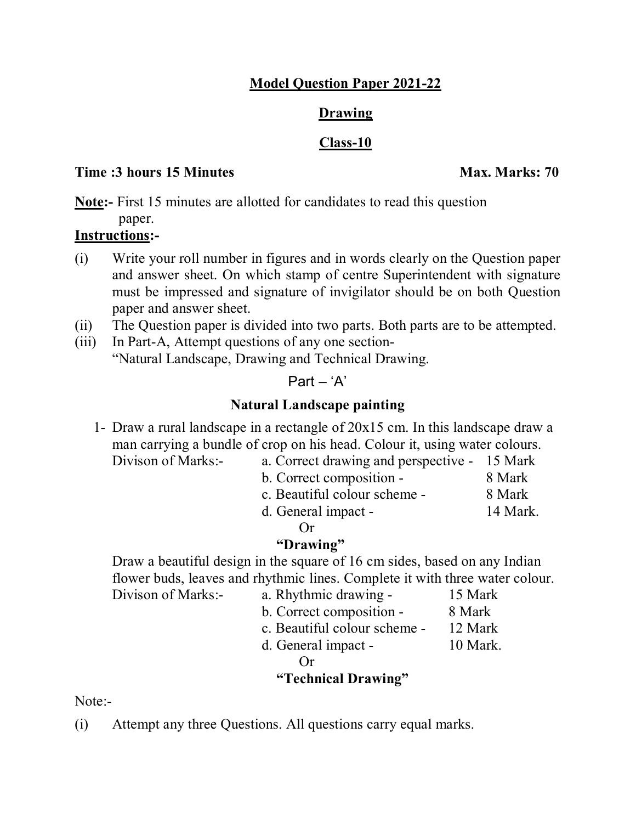## **Model Question Paper 2021-22**

### **Drawing**

## **Class-10**

### **Time :3 hours 15 Minutes Max. Marks: 70**

**Note:-** First 15 minutes are allotted for candidates to read this question paper.

## **Instructions:-**

- (i) Write your roll number in figures and in words clearly on the Question paper and answer sheet. On which stamp of centre Superintendent with signature must be impressed and signature of invigilator should be on both Question paper and answer sheet.
- (ii) The Question paper is divided into two parts. Both parts are to be attempted.
- (iii) In Part-A, Attempt questions of any one section- "Natural Landscape, Drawing and Technical Drawing.

## $Part - 'A'$

# **Natural Landscape painting**

- 1- Draw a rural landscape in a rectangle of 20x15 cm. In this landscape draw a man carrying a bundle of crop on his head. Colour it, using water colours.
	- Divison of Marks:- a. Correct drawing and perspective 15 Mark
		- b. Correct composition 8 Mark
		- c. Beautiful colour scheme 8 Mark
		- d. General impact 14 Mark.

Or

# **"Drawing"**

Draw a beautiful design in the square of 16 cm sides, based on any Indian flower buds, leaves and rhythmic lines. Complete it with three water colour. Divison of Marks:- a. Rhythmic drawing - 15 Mark

- b. Correct composition 8 Mark
- c. Beautiful colour scheme 12 Mark
- d. General impact 10 Mark.

Or

# **"Technical Drawing"**

Note:-

(i) Attempt any three Questions. All questions carry equal marks.